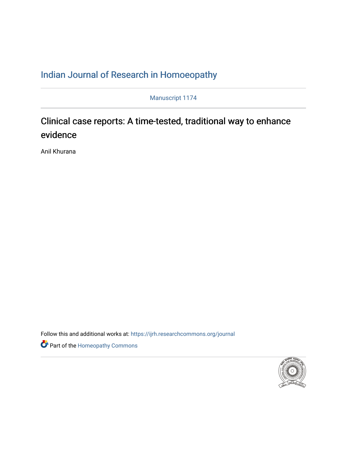### [Indian Journal of Research in Homoeopathy](https://ijrh.researchcommons.org/journal)

Manuscript 1174

## Clinical case reports: A time-tested, traditional way to enhance evidence

Anil Khurana

Follow this and additional works at: https://ijrh.researchcommons.org/journal

Part of the [Homeopathy Commons](http://network.bepress.com/hgg/discipline/1436?utm_source=ijrh.researchcommons.org%2Fjournal%2Fvol16%2Fiss1%2F1&utm_medium=PDF&utm_campaign=PDFCoverPages) 

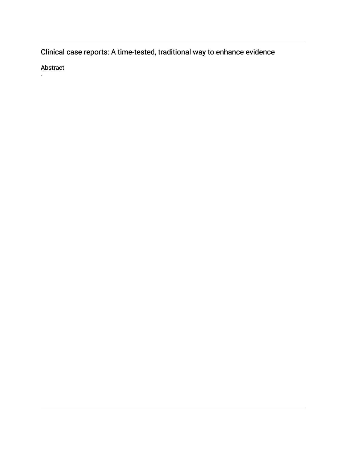Clinical case reports: A time-tested, traditional way to enhance evidence

Abstract

-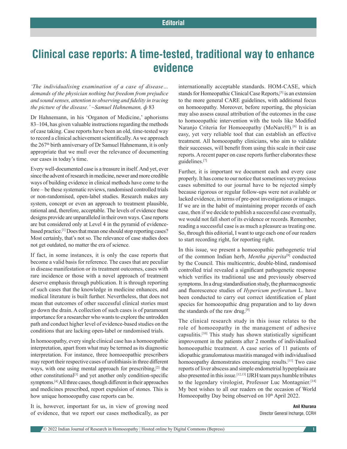# **Clinical case reports: A time-tested, traditional way to enhance evidence**

*'The individualising examination of a case of disease… demands of the physician nothing but freedom from prejudice and sound senses, attention to observing and fidelity in tracing the picture of the disease.' ~Samuel Hahnemann, ф* 83

Dr Hahnemann, in his 'Organon of Medicine,' aphorisms 83–104, has given valuable instructions regarding the methods of case taking. Case reports have been an old, time-tested way to record a clinical achievement scientifically. As we approach the 267<sup>th</sup> birth anniversary of Dr Samuel Hahnemann, it is only appropriate that we mull over the relevance of documenting our cases in today's time.

Every well-documented case is a treasure in itself. And yet, ever since the advent of research in medicine, newer and more credible ways of building evidence in clinical methods have come to the fore – be these systematic reviews, randomised controlled trials or non-randomised, open-label studies. Research makes any system, concept or even an approach to treatment plausible, rational and, therefore, acceptable. The levels of evidence these designs provide are unparalleled in their own ways. Case reports are but considered only at Level 4 in the pyramid of evidencebased practice.[1] Does that mean one should stop reporting cases? Most certainly, that's not so. The relevance of case studies does not get outdated, no matter the era of science.

If fact, in some instances, it is only the case reports that become a valid basis for reference. The cases that are peculiar in disease manifestation or its treatment outcomes, cases with rare incidence or those with a novel approach of treatment deserve emphasis through publication. It is through reporting of such cases that the knowledge in medicine enhances, and medical literature is built further. Nevertheless, that does not mean that outcomes of other successful clinical stories must go down the drain. A collection of such cases is of paramount importance for a researcher who wants to explore the untrodden path and conduct higher level of evidence-based studies on the conditions that are lacking open-label or randomised trials.

In homoeopathy, every single clinical case has a homoeopathic interpretation, apart from what may be termed as its diagnostic interpretation. For instance, three homoeopathic prescribers may report their respective cases of urolithiasis in three different ways, with one using mental approach for prescribing,<sup>[2]</sup> the other constitutional[3] and yet another only condition-specific symptoms.[4] All three cases, though different in their approaches and medicines prescribed, report expulsion of stones. This is how unique homoeopathy case reports can be.

It is, however, important for us, in view of growing need of evidence, that we report our cases methodically, as per internationally acceptable standards. HOM-CASE, which stands for Homeopathic Clinical Case Reports,[5] is an extension to the more general CARE guidelines, with additional focus on homoeopathy. Moreover, before reporting, the physician may also assess causal attribution of the outcomes in the case to homoeopathic intervention with the tools like Modified Naranjo Criteria for Homoeopathy (MoNarcH).<sup>[6]</sup> It is an easy, yet very reliable tool that can establish an effective treatment. All homoeopathy clinicians, who aim to validate their successes, will benefit from using this scale in their case reports. Arecent paper on case reports further elaborates these guidelines.[7]

Further, it is important we document each and every case properly. It has come to our notice that sometimes very precious cases submitted to our journal have to be rejected simply because rigorous or regular follow-ups were not available or lacked evidence, in terms of pre-post investigations or images. If we are in the habit of maintaining proper records of each case, then if we decide to publish a successful case eventually, we would not fall short of its evidence or records. Remember, reading a successful case is as much a pleasure as treating one. So, through this editorial, I want to urge each one of our readers to start recording right, for reporting right.

In this issue, we present a homoeopathic pathogenetic trial of the common Indian herb, *Mentha piperita*[8] conducted by the Council*.* This multicentric, double-blind, randomised controlled trial revealed a significant pathogenetic response which verifies its traditional use and previously observed symptoms. In a drug standardisation study, the pharmacognostic and fluorescence studies of *Hypericum perforatum* L. have been conducted to carry out correct identification of plant species for homoeopathic drug preparation and to lay down the standards of the raw drug.<sup>[9]</sup>

The clinical research study in this issue relates to the role of homoeopathy in the management of adhesive capsulitis.[10] This study has shown statistically significant improvement in the patients after 2 months of individualised homoeopathic treatment. A case series of 11 patients of idiopathic granulomatous mastitis managed with individualised homoeopathy demonstrates encouraging results.[11] Two case reports of liver abscess and simple endometrial hyperplasia are also presented in this issue.[12,13] IJRH team pays humble tributes to the legendary virologist, Professor Luc Montagnier.<sup>[14]</sup> My best wishes to all our readers on the occasion of World Homoeopathy Day being observed on 10<sup>th</sup> April 2022.

#### **Anil Khurana** Director General Incharge, CCRH